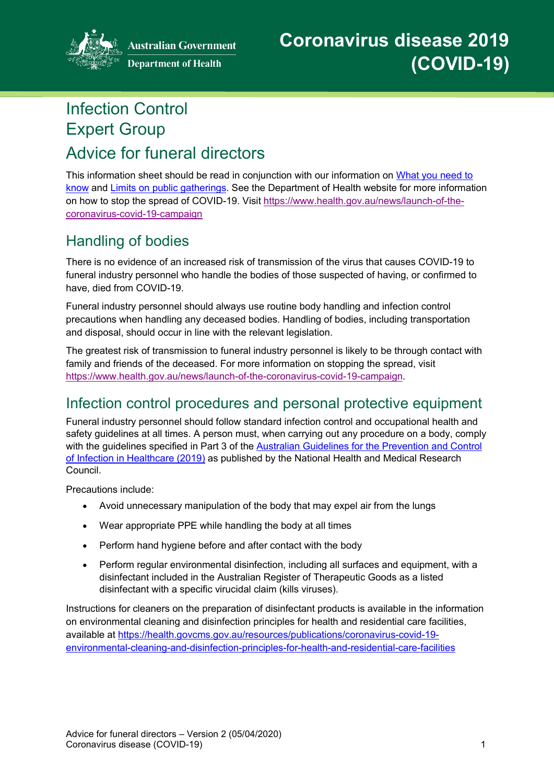

**Australian Government** 

# Infection Control Expert Group

# Advice for funeral directors

This information sheet should be read in conjunction with our information on [What you need to](https://www.health.gov.au/news/health-alerts/novel-coronavirus-2019-ncov-health-alert/what-you-need-to-know-about-coronavirus-covid-19)  [know](https://www.health.gov.au/news/health-alerts/novel-coronavirus-2019-ncov-health-alert/what-you-need-to-know-about-coronavirus-covid-19) and [Limits on public gatherings.](https://www.health.gov.au/news/health-alerts/novel-coronavirus-2019-ncov-health-alert/how-to-protect-yourself-and-others-from-coronavirus-covid-19/limits-on-public-gatherings-for-coronavirus-covid-19) See the Department of Health website for more information on how to stop the spread of COVID-19. Visit [https://www.health.gov.au/news/launch-of-the](https://www.health.gov.au/news/launch-of-the-coronavirus-covid-19-campaign)[coronavirus-covid-19-campaign](https://www.health.gov.au/news/launch-of-the-coronavirus-covid-19-campaign)

# Handling of bodies

There is no evidence of an increased risk of transmission of the virus that causes COVID-19 to funeral industry personnel who handle the bodies of those suspected of having, or confirmed to have, died from COVID-19.

Funeral industry personnel should always use routine body handling and infection control precautions when handling any deceased bodies. Handling of bodies, including transportation and disposal, should occur in line with the relevant legislation.

The greatest risk of transmission to funeral industry personnel is likely to be through contact with family and friends of the deceased. For more information on stopping the spread, visit [https://www.health.gov.au/news/launch-of-the-coronavirus-covid-19-campaign.](https://www.health.gov.au/news/launch-of-the-coronavirus-covid-19-campaign)

# Infection control procedures and personal protective equipment

Funeral industry personnel should follow standard infection control and occupational health and safety guidelines at all times. A person must, when carrying out any procedure on a body, comply with the guidelines specified in Part 3 of the [Australian Guidelines for the Prevention and Control](https://nhmrc.govcms.gov.au/about-us/publications/australian-guidelines-prevention-and-control-infection-healthcare-2019)  [of Infection in Healthcare \(2019\)](https://nhmrc.govcms.gov.au/about-us/publications/australian-guidelines-prevention-and-control-infection-healthcare-2019) as published by the National Health and Medical Research Council.

Precautions include:

- Avoid unnecessary manipulation of the body that may expel air from the lungs
- Wear appropriate PPE while handling the body at all times
- Perform hand hygiene before and after contact with the body
- Perform regular environmental disinfection, including all surfaces and equipment, with a disinfectant included in the Australian Register of Therapeutic Goods as a listed disinfectant with a specific virucidal claim (kills viruses).

Instructions for cleaners on the preparation of disinfectant products is available in the information on environmental cleaning and disinfection principles for health and residential care facilities, available at [https://health.govcms.gov.au/resources/publications/coronavirus-covid-19](https://health.govcms.gov.au/resources/publications/coronavirus-covid-19-environmental-cleaning-and-disinfection-principles-for-health-and-residential-care-facilities) [environmental-cleaning-and-disinfection-principles-for-health-and-residential-care-facilities](https://health.govcms.gov.au/resources/publications/coronavirus-covid-19-environmental-cleaning-and-disinfection-principles-for-health-and-residential-care-facilities)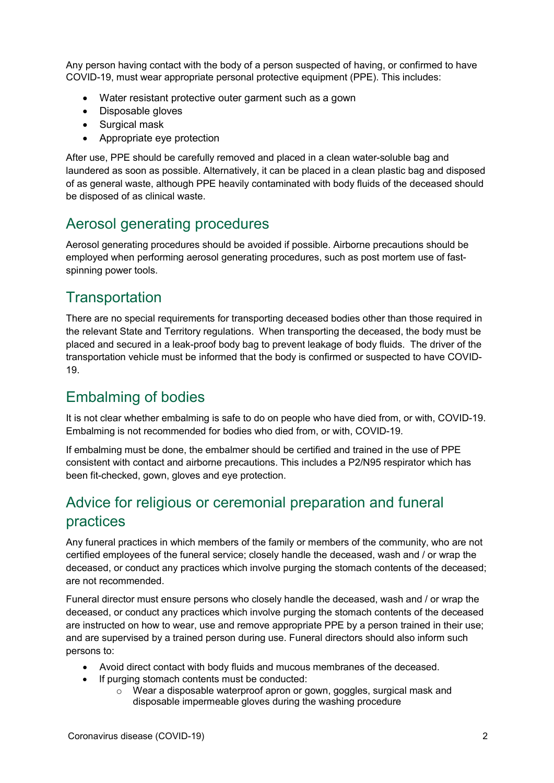Any person having contact with the body of a person suspected of having, or confirmed to have COVID-19, must wear appropriate personal protective equipment (PPE). This includes:

- Water resistant protective outer garment such as a gown
- Disposable gloves
- Surgical mask
- Appropriate eye protection

After use, PPE should be carefully removed and placed in a clean water-soluble bag and laundered as soon as possible. Alternatively, it can be placed in a clean plastic bag and disposed of as general waste, although PPE heavily contaminated with body fluids of the deceased should be disposed of as clinical waste.

#### Aerosol generating procedures

Aerosol generating procedures should be avoided if possible. Airborne precautions should be employed when performing aerosol generating procedures, such as post mortem use of fastspinning power tools.

## **Transportation**

There are no special requirements for transporting deceased bodies other than those required in the relevant State and Territory regulations. When transporting the deceased, the body must be placed and secured in a leak-proof body bag to prevent leakage of body fluids. The driver of the transportation vehicle must be informed that the body is confirmed or suspected to have COVID-19.

# Embalming of bodies

It is not clear whether embalming is safe to do on people who have died from, or with, COVID-19. Embalming is not recommended for bodies who died from, or with, COVID-19.

If embalming must be done, the embalmer should be certified and trained in the use of PPE consistent with contact and airborne precautions. This includes a P2/N95 respirator which has been fit-checked, gown, gloves and eye protection.

# Advice for religious or ceremonial preparation and funeral practices

Any funeral practices in which members of the family or members of the community, who are not certified employees of the funeral service; closely handle the deceased, wash and / or wrap the deceased, or conduct any practices which involve purging the stomach contents of the deceased; are not recommended.

Funeral director must ensure persons who closely handle the deceased, wash and / or wrap the deceased, or conduct any practices which involve purging the stomach contents of the deceased are instructed on how to wear, use and remove appropriate PPE by a person trained in their use; and are supervised by a trained person during use. Funeral directors should also inform such persons to:

- Avoid direct contact with body fluids and mucous membranes of the deceased.
- If purging stomach contents must be conducted:
	- $\circ$  Wear a disposable waterproof apron or gown, goggles, surgical mask and disposable impermeable gloves during the washing procedure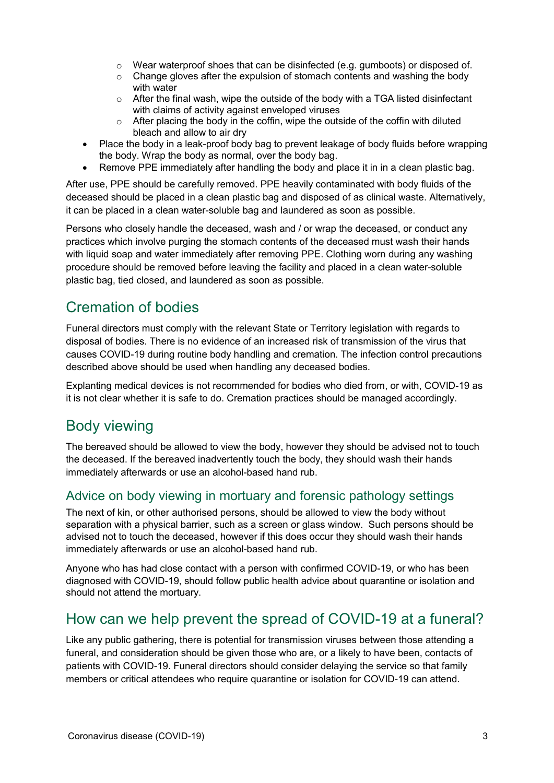- $\circ$  Wear waterproof shoes that can be disinfected (e.g. gumboots) or disposed of.
- o Change gloves after the expulsion of stomach contents and washing the body with water
- $\circ$  After the final wash, wipe the outside of the body with a TGA listed disinfectant with claims of activity against enveloped viruses
- $\circ$  After placing the body in the coffin, wipe the outside of the coffin with diluted bleach and allow to air dry
- Place the body in a leak-proof body bag to prevent leakage of body fluids before wrapping the body. Wrap the body as normal, over the body bag.
- Remove PPE immediately after handling the body and place it in in a clean plastic bag.

After use, PPE should be carefully removed. PPE heavily contaminated with body fluids of the deceased should be placed in a clean plastic bag and disposed of as clinical waste. Alternatively, it can be placed in a clean water-soluble bag and laundered as soon as possible.

Persons who closely handle the deceased, wash and / or wrap the deceased, or conduct any practices which involve purging the stomach contents of the deceased must wash their hands with liquid soap and water immediately after removing PPE. Clothing worn during any washing procedure should be removed before leaving the facility and placed in a clean water-soluble plastic bag, tied closed, and laundered as soon as possible.

## Cremation of bodies

Funeral directors must comply with the relevant State or Territory legislation with regards to disposal of bodies. There is no evidence of an increased risk of transmission of the virus that causes COVID-19 during routine body handling and cremation. The infection control precautions described above should be used when handling any deceased bodies.

Explanting medical devices is not recommended for bodies who died from, or with, COVID-19 as it is not clear whether it is safe to do. Cremation practices should be managed accordingly.

#### Body viewing

The bereaved should be allowed to view the body, however they should be advised not to touch the deceased. If the bereaved inadvertently touch the body, they should wash their hands immediately afterwards or use an alcohol-based hand rub.

#### Advice on body viewing in mortuary and forensic pathology settings

The next of kin, or other authorised persons, should be allowed to view the body without separation with a physical barrier, such as a screen or glass window. Such persons should be advised not to touch the deceased, however if this does occur they should wash their hands immediately afterwards or use an alcohol-based hand rub.

Anyone who has had close contact with a person with confirmed COVID-19, or who has been diagnosed with COVID-19, should follow public health advice about quarantine or isolation and should not attend the mortuary.

#### How can we help prevent the spread of COVID-19 at a funeral?

Like any public gathering, there is potential for transmission viruses between those attending a funeral, and consideration should be given those who are, or a likely to have been, contacts of patients with COVID-19. Funeral directors should consider delaying the service so that family members or critical attendees who require quarantine or isolation for COVID-19 can attend.